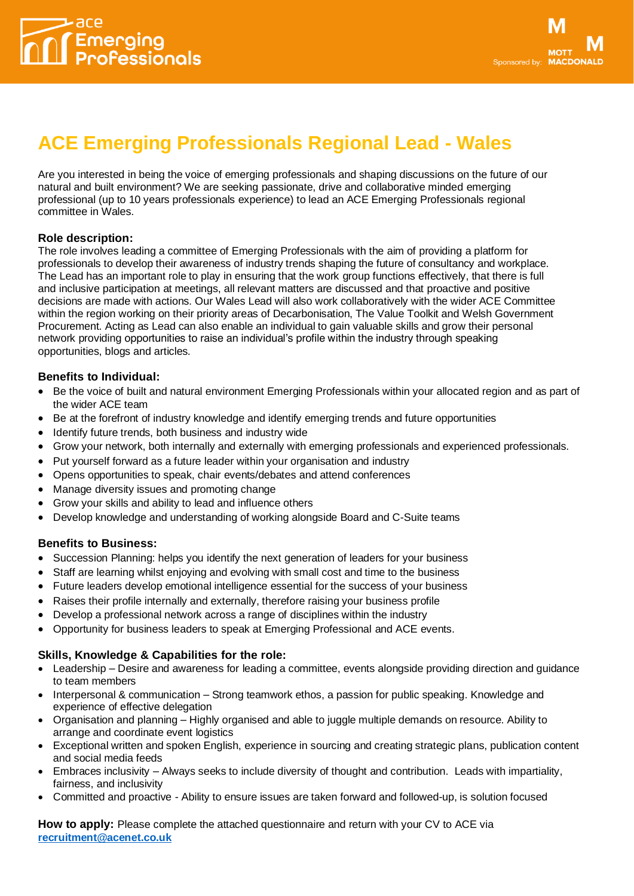

# **[ACE Emerging Professionals](https://www.acenet.co.uk/groups/emerging-professionals/) [Regional Lead](https://www.acenet.co.uk/groups/emerging-professionals/) - Wales**

Are you interested in being the voice of emerging professionals and shaping discussions on the future of our natural and built environment? We are seeking passionate, drive and collaborative minded emerging professional (up to 10 years professionals experience) to lead an ACE Emerging Professionals regional committee in Wales.

## **Role description:**

The role involves leading a committee of Emerging Professionals with the aim of providing a platform for professionals to develop their awareness of industry trends shaping the future of consultancy and workplace. The Lead has an important role to play in ensuring that the work group functions effectively, that there is full and inclusive participation at meetings, all relevant matters are discussed and that proactive and positive decisions are made with actions. Our Wales Lead will also work collaboratively with the wider ACE Committee within the region working on their priority areas of Decarbonisation, The Value Toolkit and Welsh Government Procurement. Acting as Lead can also enable an individual to gain valuable skills and grow their personal network providing opportunities to raise an individual's profile within the industry through speaking opportunities, blogs and articles.

## **Benefits to Individual:**

- Be the voice of built and natural environment Emerging Professionals within your allocated region and as part of the wider ACE team
- Be at the forefront of industry knowledge and identify emerging trends and future opportunities
- Identify future trends, both business and industry wide
- Grow your network, both internally and externally with emerging professionals and experienced professionals.
- Put yourself forward as a future leader within your organisation and industry
- Opens opportunities to speak, chair events/debates and attend conferences
- Manage diversity issues and promoting change
- Grow your skills and ability to lead and influence others
- Develop knowledge and understanding of working alongside Board and C-Suite teams

#### **Benefits to Business:**

- Succession Planning: helps you identify the next generation of leaders for your business
- Staff are learning whilst enjoying and evolving with small cost and time to the business
- Future leaders develop emotional intelligence essential for the success of your business
- Raises their profile internally and externally, therefore raising your business profile
- Develop a professional network across a range of disciplines within the industry
- Opportunity for business leaders to speak at Emerging Professional and ACE events.

## **Skills, Knowledge & Capabilities for the role:**

- Leadership Desire and awareness for leading a committee, events alongside providing direction and guidance to team members
- Interpersonal & communication Strong teamwork ethos, a passion for public speaking. Knowledge and experience of effective delegation
- Organisation and planning Highly organised and able to juggle multiple demands on resource. Ability to arrange and coordinate event logistics
- Exceptional written and spoken English, experience in sourcing and creating strategic plans, publication content and social media feeds
- Embraces inclusivity Always seeks to include diversity of thought and contribution. Leads with impartiality, fairness, and inclusivity
- Committed and proactive Ability to ensure issues are taken forward and followed-up, is solution focused

**How to apply:** Please complete the attached questionnaire and return with your CV to ACE via **[recruitment@acenet.co.uk](mailto:recruitment@acenet.co.uk)**